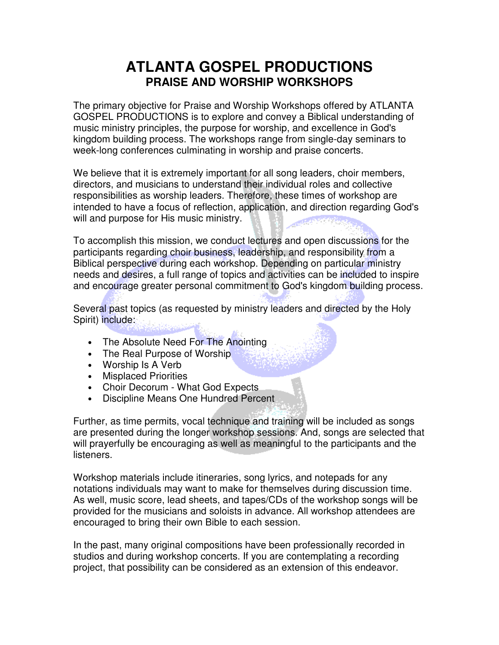# **ATLANTA GOSPEL PRODUCTIONS PRAISE AND WORSHIP WORKSHOPS**

The primary objective for Praise and Worship Workshops offered by ATLANTA GOSPEL PRODUCTIONS is to explore and convey a Biblical understanding of music ministry principles, the purpose for worship, and excellence in God's kingdom building process. The workshops range from single-day seminars to week-long conferences culminating in worship and praise concerts.

We believe that it is extremely important for all song leaders, choir members, directors, and musicians to understand their individual roles and collective responsibilities as worship leaders. Therefore, these times of workshop are intended to have a focus of reflection, application, and direction regarding God's will and purpose for His music ministry.

To accomplish this mission, we conduct lectures and open discussions for the participants regarding choir business, leadership, and responsibility from a Biblical perspective during each workshop. Depending on particular ministry needs and desires, a full range of topics and activities can be included to inspire and encourage greater personal commitment to God's kingdom building process.

Several past topics (as requested by ministry leaders and directed by the Holy Spirit) include:

- The Absolute Need For The Anointing
- The Real Purpose of Worship
- Worship Is A Verb
- Misplaced Priorities
- Choir Decorum What God Expects
- Discipline Means One Hundred Percent

Further, as time permits, vocal technique and training will be included as songs are presented during the longer workshop sessions. And, songs are selected that will prayerfully be encouraging as well as meaningful to the participants and the listeners.

Workshop materials include itineraries, song lyrics, and notepads for any notations individuals may want to make for themselves during discussion time. As well, music score, lead sheets, and tapes/CDs of the workshop songs will be provided for the musicians and soloists in advance. All workshop attendees are encouraged to bring their own Bible to each session.

In the past, many original compositions have been professionally recorded in studios and during workshop concerts. If you are contemplating a recording project, that possibility can be considered as an extension of this endeavor.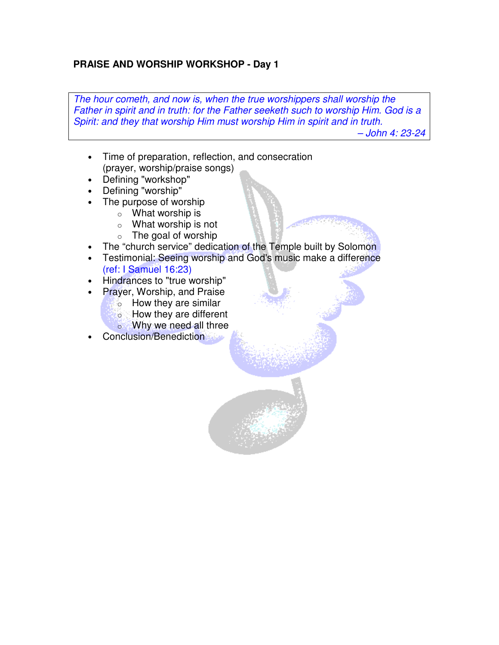### **PRAISE AND WORSHIP WORKSHOP - Day 1**

The hour cometh, and now is, when the true worshippers shall worship the Father in spirit and in truth: for the Father seeketh such to worship Him. God is a Spirit: and they that worship Him must worship Him in spirit and in truth. – John 4: 23-24

• Time of preparation, reflection, and consecration (prayer, worship/praise songs)

- Defining "workshop"
- Defining "worship"
- The purpose of worship
	- $\circ$  What worship is
	- o What worship is not
	- $\circ$  The goal of worship
- The "church service" dedication of the Temple built by Solomon
- Testimonial: Seeing worship and God's music make a difference (ref: I Samuel 16:23)
- Hindrances to "true worship"
- Prayer, Worship, and Praise
	- $\sim$  How they are similar
	- o How they are different
	- o Why we need all three
- Conclusion/Benediction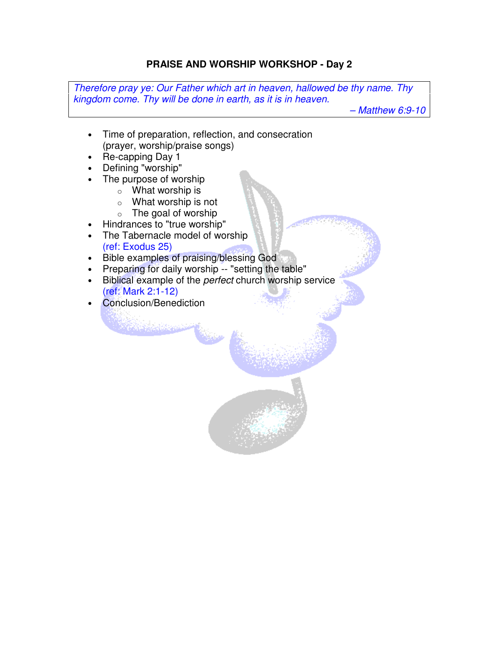### **PRAISE AND WORSHIP WORKSHOP - Day 2**

Therefore pray ye: Our Father which art in heaven, hallowed be thy name. Thy kingdom come. Thy will be done in earth, as it is in heaven.

– Matthew 6:9-10

- Time of preparation, reflection, and consecration (prayer, worship/praise songs)
- Re-capping Day 1
- Defining "worship"
- The purpose of worship
	- $\circ$  What worship is
	- o What worship is not
	- $\circ$  The goal of worship
- Hindrances to "true worship"
- The Tabernacle model of worship (ref: Exodus 25)
- Bible examples of praising/blessing God

**Report Company** 

- Preparing for daily worship -- "setting the table"
- Biblical example of the *perfect* church worship service (ref: Mark 2:1-12)
- Conclusion/Benediction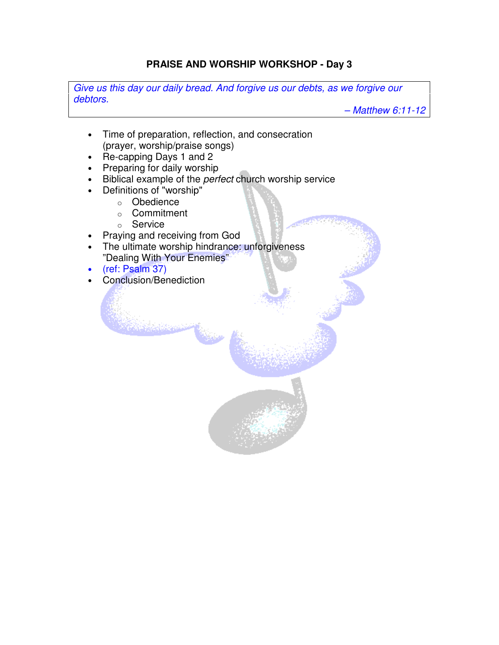### **PRAISE AND WORSHIP WORKSHOP - Day 3**

Give us this day our daily bread. And forgive us our debts, as we forgive our debtors.

– Matthew 6:11-12

- Time of preparation, reflection, and consecration (prayer, worship/praise songs)
- Re-capping Days 1 and 2
- Preparing for daily worship
- Biblical example of the *perfect* church worship service
- Definitions of "worship"
	- o Obedience
	- o Commitment
	- o Service
- Praying and receiving from God
- The ultimate worship hindrance: unforgiveness "Dealing With Your Enemies"

- (ref: Psalm 37)
- Conclusion/Benediction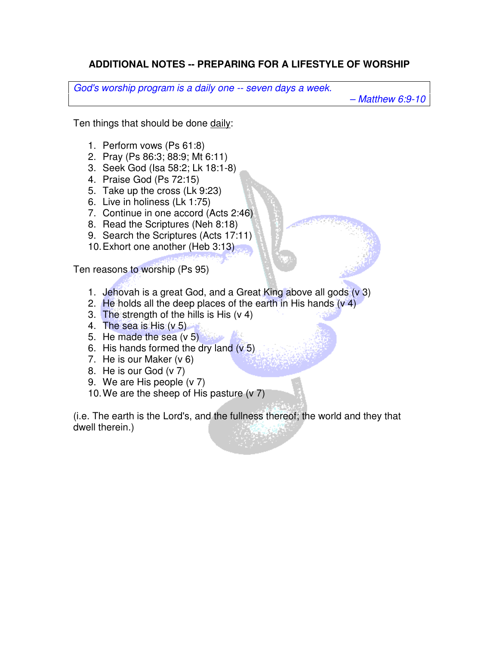## **ADDITIONAL NOTES -- PREPARING FOR A LIFESTYLE OF WORSHIP**

God's worship program is a daily one -- seven days a week.

– Matthew 6:9-10

Ten things that should be done daily:

- 1. Perform vows (Ps 61:8)
- 2. Pray (Ps 86:3; 88:9; Mt 6:11)
- 3. Seek God (Isa 58:2; Lk 18:1-8)
- 4. Praise God (Ps 72:15)
- 5. Take up the cross (Lk 9:23)
- 6. Live in holiness (Lk 1:75)
- 7. Continue in one accord (Acts 2:46)
- 8. Read the Scriptures (Neh 8:18)
- 9. Search the Scriptures (Acts 17:11)
- 10. Exhort one another (Heb 3:13)

Ten reasons to worship (Ps 95)

- 1. Jehovah is a great God, and a Great King above all gods (v 3)
- 2. He holds all the deep places of the earth in His hands  $(v 4)$
- 3. The strength of the hills is His (v 4)
- 4. The sea is His (v 5)
- 5. He made the sea (v 5)
- 6. His hands formed the dry land  $(v, 5)$
- 7. He is our Maker (v 6)
- 8. He is our God (v 7)
- 9. We are His people (v 7)
- 10. We are the sheep of His pasture (v 7)

(i.e. The earth is the Lord's, and the fullness thereof; the world and they that dwell therein.)